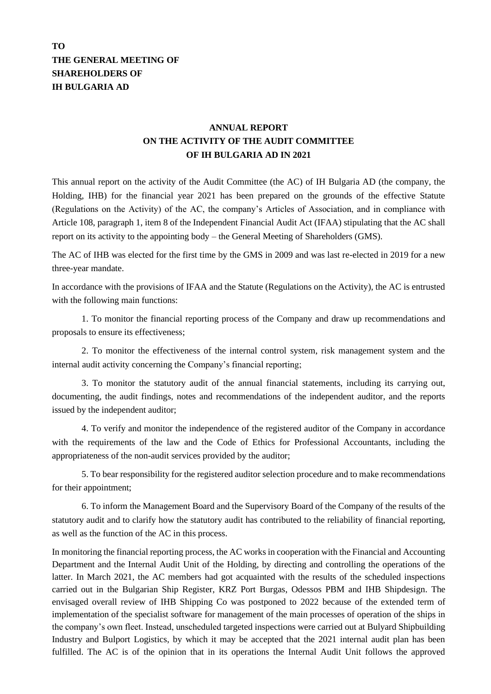## **TO THE GENERAL MEETING OF SHAREHOLDERS OF IH BULGARIA AD**

## **ANNUAL REPORT ON THE ACTIVITY OF THE AUDIT COMMITTEE OF IH BULGARIA AD IN 2021**

This annual report on the activity of the Audit Committee (the AC) of IH Bulgaria AD (the company, the Holding, IHB) for the financial year 2021 has been prepared on the grounds of the effective Statute (Regulations on the Activity) of the AC, the company's Articles of Association, and in compliance with Article 108, paragraph 1, item 8 of the Independent Financial Audit Act (IFAA) stipulating that the AC shall report on its activity to the appointing body – the General Meeting of Shareholders (GMS).

The AC of IHB was elected for the first time by the GMS in 2009 and was last re-elected in 2019 for a new three-year mandate.

In accordance with the provisions of IFAA and the Statute (Regulations on the Activity), the AC is entrusted with the following main functions:

1. To monitor the financial reporting process of the Company and draw up recommendations and proposals to ensure its effectiveness;

2. To monitor the effectiveness of the internal control system, risk management system and the internal audit activity concerning the Company's financial reporting;

3. To monitor the statutory audit of the annual financial statements, including its carrying out, documenting, the audit findings, notes and recommendations of the independent auditor, and the reports issued by the independent auditor;

4. To verify and monitor the independence of the registered auditor of the Company in accordance with the requirements of the law and the Code of Ethics for Professional Accountants, including the appropriateness of the non-audit services provided by the auditor;

5. To bear responsibility for the registered auditor selection procedure and to make recommendations for their appointment;

6. To inform the Management Board and the Supervisory Board of the Company of the results of the statutory audit and to clarify how the statutory audit has contributed to the reliability of financial reporting, as well as the function of the AC in this process.

In monitoring the financial reporting process, the AC works in cooperation with the Financial and Accounting Department and the Internal Audit Unit of the Holding, by directing and controlling the operations of the latter. In March 2021, the AC members had got acquainted with the results of the scheduled inspections carried out in the Bulgarian Ship Register, KRZ Port Burgas, Odessos PBM and IHB Shipdesign. The envisaged overall review of IHB Shipping Co was postponed to 2022 because of the extended term of implementation of the specialist software for management of the main processes of operation of the ships in the company's own fleet. Instead, unscheduled targeted inspections were carried out at Bulyard Shipbuilding Industry and Bulport Logistics, by which it may be accepted that the 2021 internal audit plan has been fulfilled. The AC is of the opinion that in its operations the Internal Audit Unit follows the approved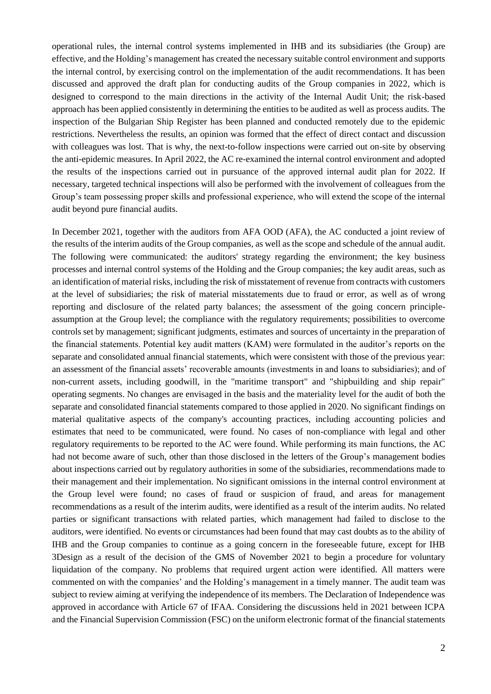operational rules, the internal control systems implemented in IHB and its subsidiaries (the Group) are effective, and the Holding's management has created the necessary suitable control environment and supports the internal control, by exercising control on the implementation of the audit recommendations. It has been discussed and approved the draft plan for conducting audits of the Group companies in 2022, which is designed to correspond to the main directions in the activity of the Internal Audit Unit; the risk-based approach has been applied consistently in determining the entities to be audited as well as process audits. The inspection of the Bulgarian Ship Register has been planned and conducted remotely due to the epidemic restrictions. Nevertheless the results, an opinion was formed that the effect of direct contact and discussion with colleagues was lost. That is why, the next-to-follow inspections were carried out on-site by observing the anti-epidemic measures. In April 2022, the AC re-examined the internal control environment and adopted the results of the inspections carried out in pursuance of the approved internal audit plan for 2022. If necessary, targeted technical inspections will also be performed with the involvement of colleagues from the Group's team possessing proper skills and professional experience, who will extend the scope of the internal audit beyond pure financial audits.

In December 2021, together with the auditors from AFA OOD (AFA), the AC conducted a joint review of the results of the interim audits of the Group companies, as well as the scope and schedule of the annual audit. The following were communicated: the auditors' strategy regarding the environment; the key business processes and internal control systems of the Holding and the Group companies; the key audit areas, such as an identification of material risks, including the risk of misstatement of revenue from contracts with customers at the level of subsidiaries; the risk of material misstatements due to fraud or error, as well as of wrong reporting and disclosure of the related party balances; the assessment of the going concern principleassumption at the Group level; the compliance with the regulatory requirements; possibilities to overcome controls set by management; significant judgments, estimates and sources of uncertainty in the preparation of the financial statements. Potential key audit matters (KAM) were formulated in the auditor's reports on the separate and consolidated annual financial statements, which were consistent with those of the previous year: an assessment of the financial assets' recoverable amounts (investments in and loans to subsidiaries); and of non-current assets, including goodwill, in the "maritime transport" and "shipbuilding and ship repair" operating segments. No changes are envisaged in the basis and the materiality level for the audit of both the separate and consolidated financial statements compared to those applied in 2020. No significant findings on material qualitative aspects of the company's accounting practices, including accounting policies and estimates that need to be communicated, were found. No cases of non-compliance with legal and other regulatory requirements to be reported to the AC were found. While performing its main functions, the AC had not become aware of such, other than those disclosed in the letters of the Group's management bodies about inspections carried out by regulatory authorities in some of the subsidiaries, recommendations made to their management and their implementation. No significant omissions in the internal control environment at the Group level were found; no cases of fraud or suspicion of fraud, and areas for management recommendations as a result of the interim audits, were identified as a result of the interim audits. No related parties or significant transactions with related parties, which management had failed to disclose to the auditors, were identified. No events or circumstances had been found that may cast doubts as to the ability of IHB and the Group companies to continue as a going concern in the foreseeable future, except for IHB 3Design as a result of the decision of the GMS of November 2021 to begin a procedure for voluntary liquidation of the company. No problems that required urgent action were identified. All matters were commented on with the companies' and the Holding's management in a timely manner. The audit team was subject to review aiming at verifying the independence of its members. The Declaration of Independence was approved in accordance with Article 67 of IFAA. Considering the discussions held in 2021 between ICPA and the Financial Supervision Commission (FSC) on the uniform electronic format of the financial statements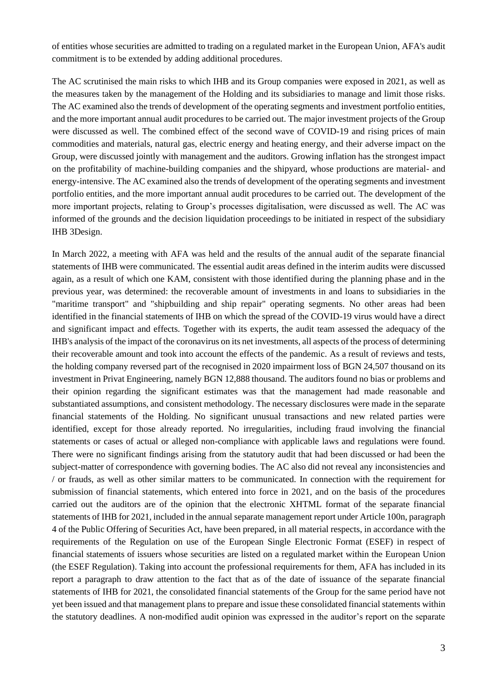of entities whose securities are admitted to trading on a regulated market in the European Union, AFA's audit commitment is to be extended by adding additional procedures.

The AC scrutinised the main risks to which IHB and its Group companies were exposed in 2021, as well as the measures taken by the management of the Holding and its subsidiaries to manage and limit those risks. The AC examined also the trends of development of the operating segments and investment portfolio entities, and the more important annual audit procedures to be carried out. The major investment projects of the Group were discussed as well. The combined effect of the second wave of COVID-19 and rising prices of main commodities and materials, natural gas, electric energy and heating energy, and their adverse impact on the Group, were discussed jointly with management and the auditors. Growing inflation has the strongest impact on the profitability of machine-building companies and the shipyard, whose productions are material- and energy-intensive. The AC examined also the trends of development of the operating segments and investment portfolio entities, and the more important annual audit procedures to be carried out. The development of the more important projects, relating to Group's processes digitalisation, were discussed as well. The AC was informed of the grounds and the decision liquidation proceedings to be initiated in respect of the subsidiary IHB 3Design.

In March 2022, a meeting with AFA was held and the results of the annual audit of the separate financial statements of IHB were communicated. The essential audit areas defined in the interim audits were discussed again, as a result of which one KAM, consistent with those identified during the planning phase and in the previous year, was determined: the recoverable amount of investments in and loans to subsidiaries in the "maritime transport" and "shipbuilding and ship repair" operating segments. No other areas had been identified in the financial statements of IHB on which the spread of the COVID-19 virus would have a direct and significant impact and effects. Together with its experts, the audit team assessed the adequacy of the IHB's analysis of the impact of the coronavirus on its net investments, all aspects of the process of determining their recoverable amount and took into account the effects of the pandemic. As a result of reviews and tests, the holding company reversed part of the recognised in 2020 impairment loss of BGN 24,507 thousand on its investment in Privat Engineering, namely BGN 12,888 thousand. The auditors found no bias or problems and their opinion regarding the significant estimates was that the management had made reasonable and substantiated assumptions, and consistent methodology. The necessary disclosures were made in the separate financial statements of the Holding. No significant unusual transactions and new related parties were identified, except for those already reported. No irregularities, including fraud involving the financial statements or cases of actual or alleged non-compliance with applicable laws and regulations were found. There were no significant findings arising from the statutory audit that had been discussed or had been the subject-matter of correspondence with governing bodies. The AC also did not reveal any inconsistencies and / or frauds, as well as other similar matters to be communicated. In connection with the requirement for submission of financial statements, which entered into force in 2021, and on the basis of the procedures carried out the auditors are of the opinion that the electronic XHTML format of the separate financial statements of IHB for 2021, included in the annual separate management report under Article 100n, paragraph 4 of the Public Offering of Securities Act, have been prepared, in all material respects, in accordance with the requirements of the Regulation on use of the European Single Electronic Format (ESEF) in respect of financial statements of issuers whose securities are listed on a regulated market within the European Union (the ESEF Regulation). Taking into account the professional requirements for them, AFA has included in its report a paragraph to draw attention to the fact that as of the date of issuance of the separate financial statements of IHB for 2021, the consolidated financial statements of the Group for the same period have not yet been issued and that management plans to prepare and issue these consolidated financial statements within the statutory deadlines. A non-modified audit opinion was expressed in the auditor's report on the separate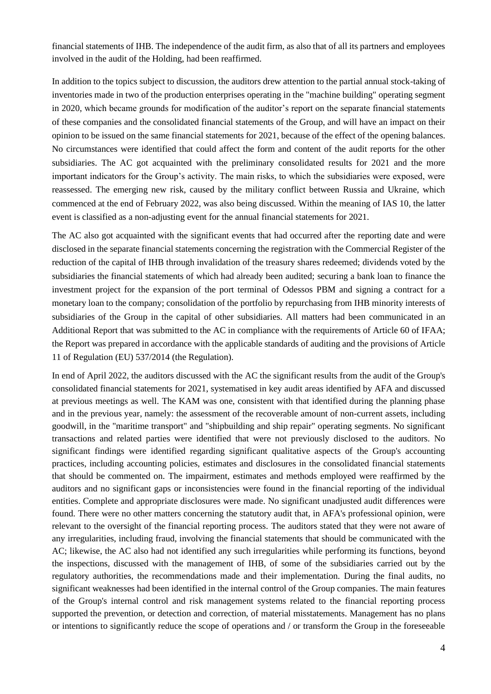financial statements of IHB. The independence of the audit firm, as also that of all its partners and employees involved in the audit of the Holding, had been reaffirmed.

In addition to the topics subject to discussion, the auditors drew attention to the partial annual stock-taking of inventories made in two of the production enterprises operating in the "machine building" operating segment in 2020, which became grounds for modification of the auditor's report on the separate financial statements of these companies and the consolidated financial statements of the Group, and will have an impact on their opinion to be issued on the same financial statements for 2021, because of the effect of the opening balances. No circumstances were identified that could affect the form and content of the audit reports for the other subsidiaries. The AC got acquainted with the preliminary consolidated results for 2021 and the more important indicators for the Group's activity. The main risks, to which the subsidiaries were exposed, were reassessed. The emerging new risk, caused by the military conflict between Russia and Ukraine, which commenced at the end of February 2022, was also being discussed. Within the meaning of IAS 10, the latter event is classified as a non-adjusting event for the annual financial statements for 2021.

The AC also got acquainted with the significant events that had occurred after the reporting date and were disclosed in the separate financial statements concerning the registration with the Commercial Register of the reduction of the capital of IHB through invalidation of the treasury shares redeemed; dividends voted by the subsidiaries the financial statements of which had already been audited; securing a bank loan to finance the investment project for the expansion of the port terminal of Odessos PBM and signing a contract for a monetary loan to the company; consolidation of the portfolio by repurchasing from IHB minority interests of subsidiaries of the Group in the capital of other subsidiaries. All matters had been communicated in an Additional Report that was submitted to the AC in compliance with the requirements of Article 60 of IFAA; the Report was prepared in accordance with the applicable standards of auditing and the provisions of Article 11 of Regulation (EU) 537/2014 (the Regulation).

In end of April 2022, the auditors discussed with the AC the significant results from the audit of the Group's consolidated financial statements for 2021, systematised in key audit areas identified by AFA and discussed at previous meetings as well. The KAM was one, consistent with that identified during the planning phase and in the previous year, namely: the assessment of the recoverable amount of non-current assets, including goodwill, in the "maritime transport" and "shipbuilding and ship repair" operating segments. No significant transactions and related parties were identified that were not previously disclosed to the auditors. No significant findings were identified regarding significant qualitative aspects of the Group's accounting practices, including accounting policies, estimates and disclosures in the consolidated financial statements that should be commented on. The impairment, estimates and methods employed were reaffirmed by the auditors and no significant gaps or inconsistencies were found in the financial reporting of the individual entities. Complete and appropriate disclosures were made. No significant unadjusted audit differences were found. There were no other matters concerning the statutory audit that, in AFA's professional opinion, were relevant to the oversight of the financial reporting process. The auditors stated that they were not aware of any irregularities, including fraud, involving the financial statements that should be communicated with the AC; likewise, the AC also had not identified any such irregularities while performing its functions, beyond the inspections, discussed with the management of IHB, of some of the subsidiaries carried out by the regulatory authorities, the recommendations made and their implementation. During the final audits, no significant weaknesses had been identified in the internal control of the Group companies. The main features of the Group's internal control and risk management systems related to the financial reporting process supported the prevention, or detection and correction, of material misstatements. Management has no plans or intentions to significantly reduce the scope of operations and / or transform the Group in the foreseeable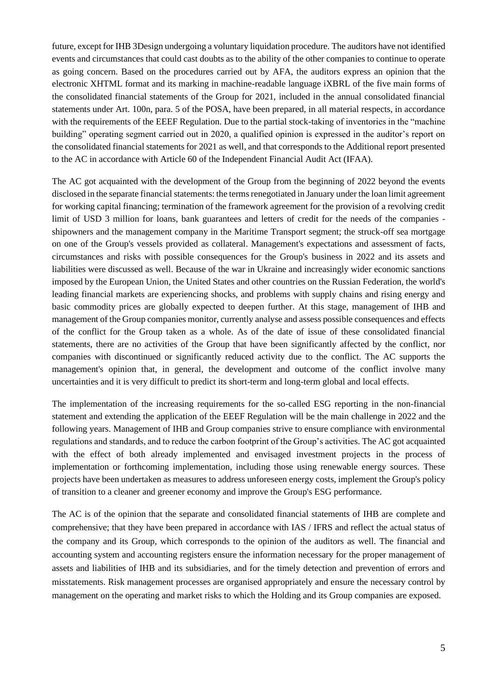future, except for IHB 3Design undergoing a voluntary liquidation procedure. The auditors have not identified events and circumstances that could cast doubts as to the ability of the other companies to continue to operate as going concern. Based on the procedures carried out by AFA, the auditors express an opinion that the electronic XHTML format and its marking in machine-readable language iXBRL of the five main forms of the consolidated financial statements of the Group for 2021, included in the annual consolidated financial statements under Art. 100n, para. 5 of the POSA, have been prepared, in all material respects, in accordance with the requirements of the EEEF Regulation. Due to the partial stock-taking of inventories in the "machine" building" operating segment carried out in 2020, a qualified opinion is expressed in the auditor's report on the consolidated financial statements for 2021 as well, and that corresponds to the Additional report presented to the AC in accordance with Article 60 of the Independent Financial Audit Act (IFAA).

The AC got acquainted with the development of the Group from the beginning of 2022 beyond the events disclosed in the separate financial statements: the terms renegotiated in January under the loan limit agreement for working capital financing; termination of the framework agreement for the provision of a revolving credit limit of USD 3 million for loans, bank guarantees and letters of credit for the needs of the companies shipowners and the management company in the Maritime Transport segment; the struck-off sea mortgage on one of the Group's vessels provided as collateral. Management's expectations and assessment of facts, circumstances and risks with possible consequences for the Group's business in 2022 and its assets and liabilities were discussed as well. Because of the war in Ukraine and increasingly wider economic sanctions imposed by the European Union, the United States and other countries on the Russian Federation, the world's leading financial markets are experiencing shocks, and problems with supply chains and rising energy and basic commodity prices are globally expected to deepen further. At this stage, management of IHB and management of the Group companies monitor, currently analyse and assess possible consequences and effects of the conflict for the Group taken as a whole. As of the date of issue of these consolidated financial statements, there are no activities of the Group that have been significantly affected by the conflict, nor companies with discontinued or significantly reduced activity due to the conflict. The AC supports the management's opinion that, in general, the development and outcome of the conflict involve many uncertainties and it is very difficult to predict its short-term and long-term global and local effects.

The implementation of the increasing requirements for the so-called ESG reporting in the non-financial statement and extending the application of the EEEF Regulation will be the main challenge in 2022 and the following years. Management of IHB and Group companies strive to ensure compliance with environmental regulations and standards, and to reduce the carbon footprint of the Group's activities. The AC got acquainted with the effect of both already implemented and envisaged investment projects in the process of implementation or forthcoming implementation, including those using renewable energy sources. These projects have been undertaken as measures to address unforeseen energy costs, implement the Group's policy of transition to a cleaner and greener economy and improve the Group's ESG performance.

The AC is of the opinion that the separate and consolidated financial statements of IHB are complete and comprehensive; that they have been prepared in accordance with IAS / IFRS and reflect the actual status of the company and its Group, which corresponds to the opinion of the auditors as well. The financial and accounting system and accounting registers ensure the information necessary for the proper management of assets and liabilities of IHB and its subsidiaries, and for the timely detection and prevention of errors and misstatements. Risk management processes are organised appropriately and ensure the necessary control by management on the operating and market risks to which the Holding and its Group companies are exposed.